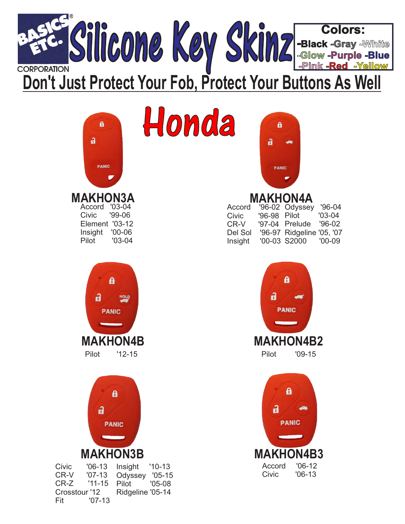

| Honda<br>$\mathbf{a}$<br>a<br><b>PANIC</b>                                                                                                                                                                                     | $\mathbf{a}$<br>$\mathbf{a}$<br><b>PANIC</b>                                                                                                                                                                   |
|--------------------------------------------------------------------------------------------------------------------------------------------------------------------------------------------------------------------------------|----------------------------------------------------------------------------------------------------------------------------------------------------------------------------------------------------------------|
| <b>MAKHON3A</b><br>Accord '03-04<br><b>Civic</b><br>'99-06<br>Element '03-12<br>Insight '00-06<br>Pilot<br>$'03-04$                                                                                                            | <b>MAKHON4A</b><br>'96-02 Odyssey<br>$'96-04$<br>Accord<br>'96-98 Pilot<br>$'03-04$<br>Civic<br>'97-04 Prelude<br>CR-V<br>$'96-02$<br>Del Sol '96-97 Ridgeline '05, '07<br>'00-03 S2000<br>$'00-09$<br>Insight |
| a<br>a<br>HOLD<br><b>PANIC</b><br><b>MAKHON4B</b><br>Pilot<br>$'12-15$                                                                                                                                                         | $\mathbf{a}$<br>a<br><b>PANIC</b><br><b>MAKHON4B2</b><br>Pilot<br>$'09-15$                                                                                                                                     |
| 8<br>a<br><b>PANIC</b><br><b>MAKHON3B</b><br>$'06-13$<br>Civic<br>Insight<br>$'10-13$<br>CR-V<br>$'07-13$<br>Odyssey '05-15<br>CR-Z<br>$'11 - 15$<br>Pilot<br>$'05-08$<br>Ridgeline '05-14<br>Crosstour '12<br>Fit<br>$'07-13$ | Â<br>a<br><b>PANIC</b><br><b>MAKHON4B3</b><br>$'06-12$<br>Accord<br>Civic<br>$'06-13$                                                                                                                          |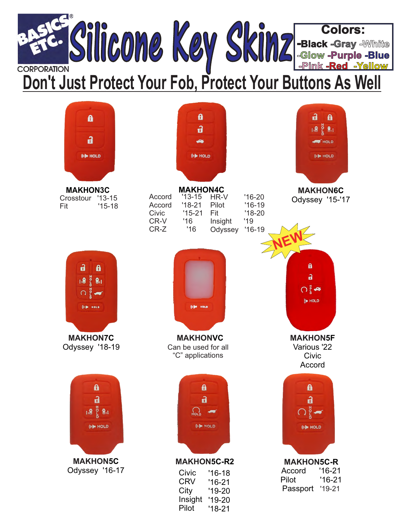

| 8<br>a<br>(e) HOLD                                                               | a<br>a<br>(e) HOLD                                                                                                                                                                                                    | a<br>$\mathbf{a}$<br><u>តើ ខ្ទឹ ឌិត</u><br><b>HOLD</b><br>(t) HOLD                   |
|----------------------------------------------------------------------------------|-----------------------------------------------------------------------------------------------------------------------------------------------------------------------------------------------------------------------|--------------------------------------------------------------------------------------|
| <b>MAKHON3C</b><br>Crosstour '13-15<br>Fit<br>$'15-18$                           | <b>MAKHON4C</b><br>$'13-15$<br>HR-V<br>$'16-20$<br>Accord<br>$'18-21$<br>Accord<br>Pilot<br>$'16-19$<br>$'15-21$<br>Civic<br>Fit<br>$'18-20$<br>'16<br>'19<br>CR-V<br>Insight<br>$CR-Z$<br>'16<br>$'16-19$<br>Odyssey | <b>MAKHON6C</b><br>Odyssey '15-'17                                                   |
| a<br>$\mathbf{a}$<br>$(1.8\ \frac{13}{8}\ 8.1)$<br>$\circ$ $\bullet$<br>(I) HOLD | (I) HOLD                                                                                                                                                                                                              | $\mathbf{a}$<br>$\mathbf{a}$<br>ဂးူံ့⇔<br><b>SO HOLD</b>                             |
| <b>MAKHON7C</b><br>Odyssey '18-19                                                | <b>MAKHONVC</b><br>Can be used for all<br>"C" applications                                                                                                                                                            | <b>MAKHON5F</b><br>Various '22<br>Civic<br>Accord                                    |
| a<br>$\mathbf{a}$<br>$1.8\,$ $\frac{8}{5}$ $8.1$<br>(e) HOLD                     | $\mathbf{a}$<br>$\mathbf{a}$<br>HOLD<br>(0) HOLD                                                                                                                                                                      | $\mathbf{a}$<br>$\mathbf{a}$<br>$\bigcirc$ g $\blacktriangleleft$<br>(e) HOLD        |
| <b>MAKHON5C</b><br>Odyssey '16-17                                                | <b>MAKHON5C-R2</b><br>Civic<br>$'16-18$<br><b>CRV</b><br>$'16-21$<br>City<br>$'19-20$<br>Insight<br>$'19-20$<br>Pilot<br>$'18-21$                                                                                     | <b>MAKHON5C-R</b><br>$'16-21$<br>Accord<br>$'16-21$<br>Pilot<br>Passport<br>$'19-21$ |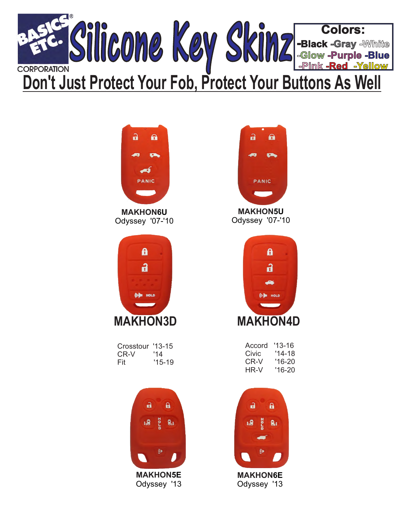



Odyssey '07-'10



Crosstour '13-15<br>CR-V '14  $CR-V$ Fit '15-19





Odyssey '07-'10



| Accord | '13-16   |
|--------|----------|
| Civic  | '14-18   |
| CR-V   | '16-20   |
| HR-V   | $'16-20$ |